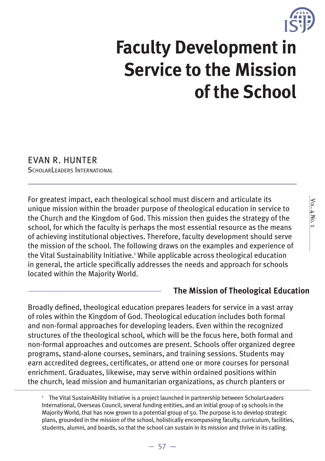

# **Faculty Development in Service to the Mission of the School**

### EVAN R. HUNTER

SCHOLARLEADERS INTERNATIONAL

For greatest impact, each theological school must discern and articulate its unique mission within the broader purpose of theological education in service to the Church and the Kingdom of God. This mission then guides the strategy of the school, for which the faculty is perhaps the most essential resource as the means of achieving institutional objectives. Therefore, faculty development should serve the mission of the school. The following draws on the examples and experience of the Vital Sustainability Initiative.<sup>1</sup> While applicable across theological education in general, the article specifically addresses the needs and approach for schools located within the Majority World.

#### \_\_\_\_\_\_\_\_\_\_\_\_\_\_\_\_\_\_\_\_\_\_\_\_\_\_\_\_\_\_\_\_\_\_\_\_\_ **The Mission of Theological Education**

Broadly defined, theological education prepares leaders for service in a vast array of roles within the Kingdom of God. Theological education includes both formal and non-formal approaches for developing leaders. Even within the recognized structures of the theological school, which will be the focus here, both formal and non-formal approaches and outcomes are present. Schools offer organized degree programs, stand-alone courses, seminars, and training sessions. Students may earn accredited degrees, certificates, or attend one or more courses for personal enrichment. Graduates, likewise, may serve within ordained positions within the church, lead mission and humanitarian organizations, as church planters or

<sup>1</sup> The Vital SustainAbility Initiative is a project launched in partnership between ScholarLeaders International, Overseas Council, several funding entities, and an initial group of 19 schools in the Majority World, that has now grown to a potential group of 50. The purpose is to develop strategic plans, grounded in the mission of the school, holistically encompassing faculty, curriculum, facilities, students, alumni, and boards, so that the school can sustain in its mission and thrive in its calling.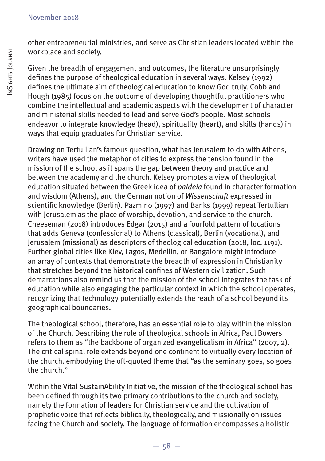other entrepreneurial ministries, and serve as Christian leaders located within the workplace and society.

Given the breadth of engagement and outcomes, the literature unsurprisingly defines the purpose of theological education in several ways. Kelsey (1992) defines the ultimate aim of theological education to know God truly. Cobb and Hough (1985) focus on the outcome of developing thoughtful practitioners who combine the intellectual and academic aspects with the development of character and ministerial skills needed to lead and serve God's people. Most schools endeavor to integrate knowledge (head), spirituality (heart), and skills (hands) in ways that equip graduates for Christian service.

Drawing on Tertullian's famous question, what has Jerusalem to do with Athens, writers have used the metaphor of cities to express the tension found in the mission of the school as it spans the gap between theory and practice and between the academy and the church. Kelsey promotes a view of theological education situated between the Greek idea of *paideia* found in character formation and wisdom (Athens), and the German notion of *Wissenschaft* expressed in scientific knowledge (Berlin). Pazmino (1997) and Banks (1999) repeat Tertullian with Jerusalem as the place of worship, devotion, and service to the church. Cheeseman (2018) introduces Edgar (2015) and a fourfold pattern of locations that adds Geneva (confessional) to Athens (classical), Berlin (vocational), and Jerusalem (missional) as descriptors of theological education (2018, loc. 1191). Further global cities like Kiev, Lagos, Medellin, or Bangalore might introduce an array of contexts that demonstrate the breadth of expression in Christianity that stretches beyond the historical confines of Western civilization. Such demarcations also remind us that the mission of the school integrates the task of education while also engaging the particular context in which the school operates, recognizing that technology potentially extends the reach of a school beyond its geographical boundaries.

The theological school, therefore, has an essential role to play within the mission of the Church. Describing the role of theological schools in Africa, Paul Bowers refers to them as "the backbone of organized evangelicalism in Africa" (2007, 2). The critical spinal role extends beyond one continent to virtually every location of the church, embodying the oft-quoted theme that "as the seminary goes, so goes the church."

Within the Vital SustainAbility Initiative, the mission of the theological school has been defined through its two primary contributions to the church and society, namely the formation of leaders for Christian service and the cultivation of prophetic voice that reflects biblically, theologically, and missionally on issues facing the Church and society. The language of formation encompasses a holistic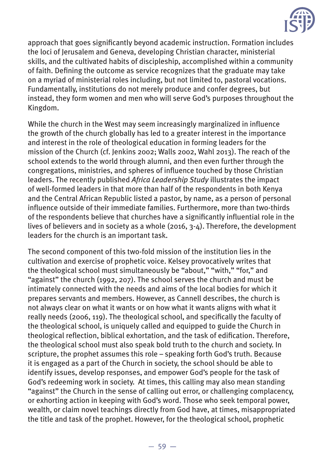

approach that goes significantly beyond academic instruction. Formation includes the loci of Jerusalem and Geneva, developing Christian character, ministerial skills, and the cultivated habits of discipleship, accomplished within a community of faith. Defining the outcome as service recognizes that the graduate may take on a myriad of ministerial roles including, but not limited to, pastoral vocations. Fundamentally, institutions do not merely produce and confer degrees, but instead, they form women and men who will serve God's purposes throughout the Kingdom.

While the church in the West may seem increasingly marginalized in influence the growth of the church globally has led to a greater interest in the importance and interest in the role of theological education in forming leaders for the mission of the Church (cf. Jenkins 2002; Walls 2002, Wahl 2013). The reach of the school extends to the world through alumni, and then even further through the congregations, ministries, and spheres of influence touched by those Christian leaders. The recently published *Africa Leadership Study* illustrates the impact of well-formed leaders in that more than half of the respondents in both Kenya and the Central African Republic listed a pastor, by name, as a person of personal influence outside of their immediate families. Furthermore, more than two-thirds of the respondents believe that churches have a significantly influential role in the lives of believers and in society as a whole (2016, 3-4). Therefore, the development leaders for the church is an important task.

The second component of this two-fold mission of the institution lies in the cultivation and exercise of prophetic voice. Kelsey provocatively writes that the theological school must simultaneously be "about," "with," "for," and "against" the church (1992, 207). The school serves the church and must be intimately connected with the needs and aims of the local bodies for which it prepares servants and members. However, as Cannell describes, the church is not always clear on what it wants or on how what it wants aligns with what it really needs (2006, 119). The theological school, and specifically the faculty of the theological school, is uniquely called and equipped to guide the Church in theological reflection, biblical exhortation, and the task of edification. Therefore, the theological school must also speak bold truth to the church and society. In scripture, the prophet assumes this role – speaking forth God's truth. Because it is engaged as a part of the Church in society, the school should be able to identify issues, develop responses, and empower God's people for the task of God's redeeming work in society. At times, this calling may also mean standing "against" the Church in the sense of calling out error, or challenging complacency, or exhorting action in keeping with God's word. Those who seek temporal power, wealth, or claim novel teachings directly from God have, at times, misappropriated the title and task of the prophet. However, for the theological school, prophetic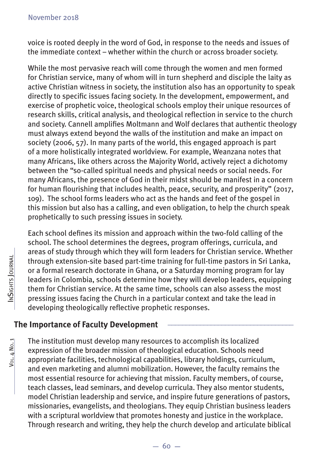voice is rooted deeply in the word of God, in response to the needs and issues of the immediate context – whether within the church or across broader society.

While the most pervasive reach will come through the women and men formed for Christian service, many of whom will in turn shepherd and disciple the laity as active Christian witness in society, the institution also has an opportunity to speak directly to specific issues facing society. In the development, empowerment, and exercise of prophetic voice, theological schools employ their unique resources of research skills, critical analysis, and theological reflection in service to the church and society. Cannell amplifies Moltmann and Wolf declares that authentic theology must always extend beyond the walls of the institution and make an impact on society (2006, 57). In many parts of the world, this engaged approach is part of a more holistically integrated worldview. For example, Weanzana notes that many Africans, like others across the Majority World, actively reject a dichotomy between the "so-called spiritual needs and physical needs or social needs. For many Africans, the presence of God in their midst should be manifest in a concern for human flourishing that includes health, peace, security, and prosperity" (2017, 109). The school forms leaders who act as the hands and feet of the gospel in this mission but also has a calling, and even obligation, to help the church speak prophetically to such pressing issues in society.

Each school defines its mission and approach within the two-fold calling of the school. The school determines the degrees, program offerings, curricula, and areas of study through which they will form leaders for Christian service. Whether through extension-site based part-time training for full-time pastors in Sri Lanka, or a formal research doctorate in Ghana, or a Saturday morning program for lay leaders in Colombia, schools determine how they will develop leaders, equipping them for Christian service. At the same time, schools can also assess the most pressing issues facing the Church in a particular context and take the lead in developing theologically reflective prophetic responses.

#### **The Importance of Faculty Development \_\_\_\_\_\_\_\_\_\_\_\_\_\_\_\_\_\_\_\_\_\_\_\_\_\_\_\_\_\_\_\_\_\_\_**

The institution must develop many resources to accomplish its localized expression of the broader mission of theological education. Schools need appropriate facilities, technological capabilities, library holdings, curriculum, and even marketing and alumni mobilization. However, the faculty remains the most essential resource for achieving that mission. Faculty members, of course, teach classes, lead seminars, and develop curricula. They also mentor students, model Christian leadership and service, and inspire future generations of pastors, missionaries, evangelists, and theologians. They equip Christian business leaders with a scriptural worldview that promotes honesty and justice in the workplace. Through research and writing, they help the church develop and articulate biblical

Vol. 4 No. 1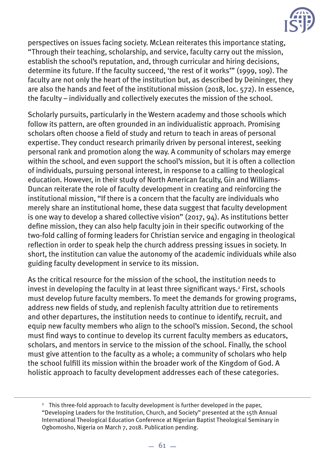

perspectives on issues facing society. McLean reiterates this importance stating, "Through their teaching, scholarship, and service, faculty carry out the mission, establish the school's reputation, and, through curricular and hiring decisions, determine its future. If the faculty succeed, 'the rest of it works'" (1999, 109). The faculty are not only the heart of the institution but, as described by Deininger, they are also the hands and feet of the institutional mission (2018, loc. 572). In essence, the faculty – individually and collectively executes the mission of the school.

Scholarly pursuits, particularly in the Western academy and those schools which follow its pattern, are often grounded in an individualistic approach. Promising scholars often choose a field of study and return to teach in areas of personal expertise. They conduct research primarily driven by personal interest, seeking personal rank and promotion along the way. A community of scholars may emerge within the school, and even support the school's mission, but it is often a collection of individuals, pursuing personal interest, in response to a calling to theological education. However, in their study of North American faculty, Gin and Williams-Duncan reiterate the role of faculty development in creating and reinforcing the institutional mission, "If there is a concern that the faculty are individuals who merely share an institutional home, these data suggest that faculty development is one way to develop a shared collective vision" (2017, 94). As institutions better define mission, they can also help faculty join in their specific outworking of the two-fold calling of forming leaders for Christian service and engaging in theological reflection in order to speak help the church address pressing issues in society. In short, the institution can value the autonomy of the academic individuals while also guiding faculty development in service to its mission.

As the critical resource for the mission of the school, the institution needs to invest in developing the faculty in at least three significant ways.<sup>2</sup> First, schools must develop future faculty members. To meet the demands for growing programs, address new fields of study, and replenish faculty attrition due to retirements and other departures, the institution needs to continue to identify, recruit, and equip new faculty members who align to the school's mission. Second, the school must find ways to continue to develop its current faculty members as educators, scholars, and mentors in service to the mission of the school. Finally, the school must give attention to the faculty as a whole; a community of scholars who help the school fulfill its mission within the broader work of the Kingdom of God. A holistic approach to faculty development addresses each of these categories.

<sup>2</sup> This three-fold approach to faculty development is further developed in the paper, "Developing Leaders for the Institution, Church, and Society" presented at the 15th Annual International Theological Education Conference at Nigerian Baptist Theological Seminary in Ogbomosho, Nigeria on March 7, 2018. Publication pending.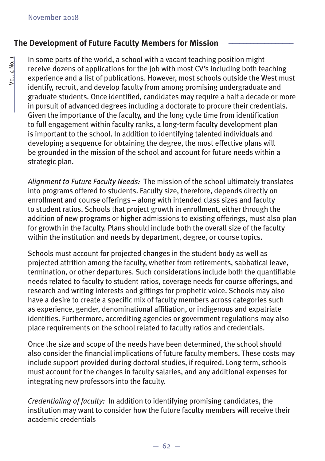#### **The Development of Future Faculty Members for Mission \_\_\_\_\_\_\_\_\_\_\_\_\_\_\_\_\_\_**

In some parts of the world, a school with a vacant teaching position might receive dozens of applications for the job with most CV's including both teaching experience and a list of publications. However, most schools outside the West must identify, recruit, and develop faculty from among promising undergraduate and graduate students. Once identified, candidates may require a half a decade or more in pursuit of advanced degrees including a doctorate to procure their credentials. Given the importance of the faculty, and the long cycle time from identification to full engagement within faculty ranks, a long-term faculty development plan is important to the school. In addition to identifying talented individuals and developing a sequence for obtaining the degree, the most effective plans will be grounded in the mission of the school and account for future needs within a strategic plan.

*Alignment to Future Faculty Needs:* The mission of the school ultimately translates into programs offered to students. Faculty size, therefore, depends directly on enrollment and course offerings – along with intended class sizes and faculty to student ratios. Schools that project growth in enrollment, either through the addition of new programs or higher admissions to existing offerings, must also plan for growth in the faculty. Plans should include both the overall size of the faculty within the institution and needs by department, degree, or course topics.

Schools must account for projected changes in the student body as well as projected attrition among the faculty, whether from retirements, sabbatical leave, termination, or other departures. Such considerations include both the quantifiable needs related to faculty to student ratios, coverage needs for course offerings, and research and writing interests and giftings for prophetic voice. Schools may also have a desire to create a specific mix of faculty members across categories such as experience, gender, denominational affiliation, or indigenous and expatriate identities. Furthermore, accrediting agencies or government regulations may also place requirements on the school related to faculty ratios and credentials.

Once the size and scope of the needs have been determined, the school should also consider the financial implications of future faculty members. These costs may include support provided during doctoral studies, if required. Long term, schools must account for the changes in faculty salaries, and any additional expenses for integrating new professors into the faculty.

*Credentialing of faculty:* In addition to identifying promising candidates, the institution may want to consider how the future faculty members will receive their academic credentials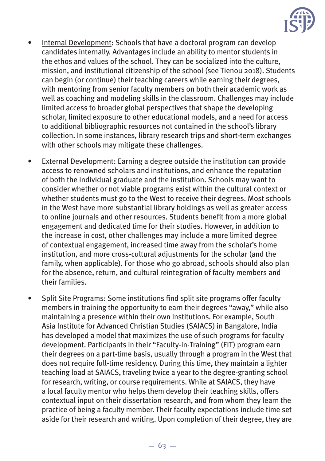

- Internal Development: Schools that have a doctoral program can develop candidates internally. Advantages include an ability to mentor students in the ethos and values of the school. They can be socialized into the culture, mission, and institutional citizenship of the school (see Tienou 2018). Students can begin (or continue) their teaching careers while earning their degrees, with mentoring from senior faculty members on both their academic work as well as coaching and modeling skills in the classroom. Challenges may include limited access to broader global perspectives that shape the developing scholar, limited exposure to other educational models, and a need for access to additional bibliographic resources not contained in the school's library collection. In some instances, library research trips and short-term exchanges with other schools may mitigate these challenges.
- External Development: Earning a degree outside the institution can provide access to renowned scholars and institutions, and enhance the reputation of both the individual graduate and the institution. Schools may want to consider whether or not viable programs exist within the cultural context or whether students must go to the West to receive their degrees. Most schools in the West have more substantial library holdings as well as greater access to online journals and other resources. Students benefit from a more global engagement and dedicated time for their studies. However, in addition to the increase in cost, other challenges may include a more limited degree of contextual engagement, increased time away from the scholar's home institution, and more cross-cultural adjustments for the scholar (and the family, when applicable). For those who go abroad, schools should also plan for the absence, return, and cultural reintegration of faculty members and their families.
- Split Site Programs: Some institutions find split site programs offer faculty members in training the opportunity to earn their degrees "away," while also maintaining a presence within their own institutions. For example, South Asia Institute for Advanced Christian Studies (SAIACS) in Bangalore, India has developed a model that maximizes the use of such programs for faculty development. Participants in their "Faculty-in-Training" (FIT) program earn their degrees on a part-time basis, usually through a program in the West that does not require full-time residency. During this time, they maintain a lighter teaching load at SAIACS, traveling twice a year to the degree-granting school for research, writing, or course requirements. While at SAIACS, they have a local faculty mentor who helps them develop their teaching skills, offers contextual input on their dissertation research, and from whom they learn the practice of being a faculty member. Their faculty expectations include time set aside for their research and writing. Upon completion of their degree, they are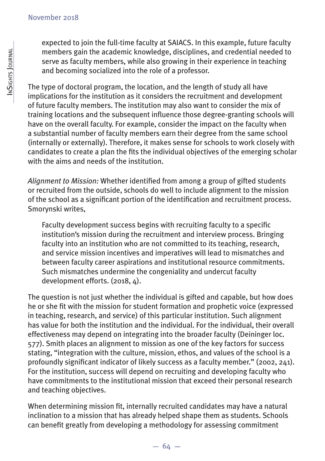expected to join the full-time faculty at SAIACS. In this example, future faculty members gain the academic knowledge, disciplines, and credential needed to serve as faculty members, while also growing in their experience in teaching and becoming socialized into the role of a professor.

The type of doctoral program, the location, and the length of study all have implications for the institution as it considers the recruitment and development of future faculty members. The institution may also want to consider the mix of training locations and the subsequent influence those degree-granting schools will have on the overall faculty. For example, consider the impact on the faculty when a substantial number of faculty members earn their degree from the same school (internally or externally). Therefore, it makes sense for schools to work closely with candidates to create a plan the fits the individual objectives of the emerging scholar with the aims and needs of the institution.

Alignment to Mission: Whether identified from among a group of gifted students or recruited from the outside, schools do well to include alignment to the mission of the school as a significant portion of the identification and recruitment process. Smorynski writes,

Faculty development success begins with recruiting faculty to a specific institution's mission during the recruitment and interview process. Bringing faculty into an institution who are not committed to its teaching, research, and service mission incentives and imperatives will lead to mismatches and between faculty career aspirations and institutional resource commitments. Such mismatches undermine the congeniality and undercut faculty development efforts. (2018, 4).

The question is not just whether the individual is gifted and capable, but how does he or she fit with the mission for student formation and prophetic voice (expressed in teaching, research, and service) of this particular institution. Such alignment has value for both the institution and the individual. For the individual, their overall effectiveness may depend on integrating into the broader faculty (Deininger loc. 577). Smith places an alignment to mission as one of the key factors for success stating, "integration with the culture, mission, ethos, and values of the school is a profoundly significant indicator of likely success as a faculty member." (2002, 241). For the institution, success will depend on recruiting and developing faculty who have commitments to the institutional mission that exceed their personal research and teaching objectives.

When determining mission fit, internally recruited candidates may have a natural inclination to a mission that has already helped shape them as students. Schools can benefit greatly from developing a methodology for assessing commitment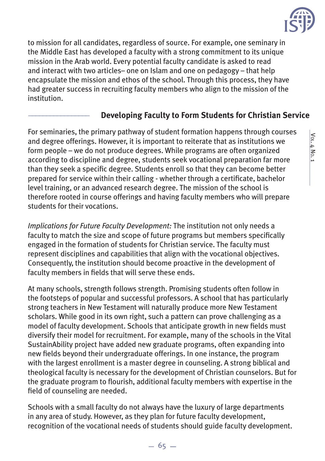

to mission for all candidates, regardless of source. For example, one seminary in the Middle East has developed a faculty with a strong commitment to its unique mission in the Arab world. Every potential faculty candidate is asked to read and interact with two articles– one on Islam and one on pedagogy – that help encapsulate the mission and ethos of the school. Through this process, they have had greater success in recruiting faculty members who align to the mission of the institution.

#### \_\_\_\_\_\_\_\_\_\_\_\_\_\_\_\_\_ **Developing Faculty to Form Students for Christian Service**

For seminaries, the primary pathway of student formation happens through courses and degree offerings. However, it is important to reiterate that as institutions we form people – we do not produce degrees. While programs are often organized according to discipline and degree, students seek vocational preparation far more than they seek a specific degree. Students enroll so that they can become better prepared for service within their calling - whether through a certificate, bachelor level training, or an advanced research degree. The mission of the school is therefore rooted in course offerings and having faculty members who will prepare students for their vocations.

*Implications for Future Faculty Development:* The institution not only needs a faculty to match the size and scope of future programs but members specifically engaged in the formation of students for Christian service. The faculty must represent disciplines and capabilities that align with the vocational objectives. Consequently, the institution should become proactive in the development of faculty members in fields that will serve these ends.

At many schools, strength follows strength. Promising students often follow in the footsteps of popular and successful professors. A school that has particularly strong teachers in New Testament will naturally produce more New Testament scholars. While good in its own right, such a pattern can prove challenging as a model of faculty development. Schools that anticipate growth in new fields must diversify their model for recruitment. For example, many of the schools in the Vital SustainAbility project have added new graduate programs, often expanding into new fields beyond their undergraduate offerings. In one instance, the program with the largest enrollment is a master degree in counseling. A strong biblical and theological faculty is necessary for the development of Christian counselors. But for the graduate program to flourish, additional faculty members with expertise in the field of counseling are needed.

Schools with a small faculty do not always have the luxury of large departments in any area of study. However, as they plan for future faculty development, recognition of the vocational needs of students should guide faculty development.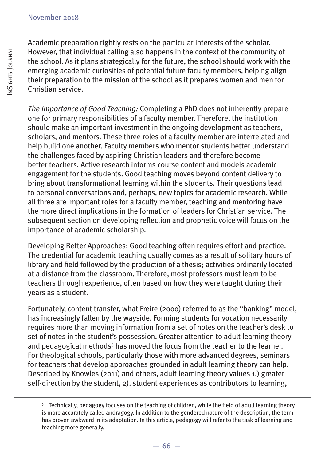Academic preparation rightly rests on the particular interests of the scholar. However, that individual calling also happens in the context of the community of the school. As it plans strategically for the future, the school should work with the emerging academic curiosities of potential future faculty members, helping align their preparation to the mission of the school as it prepares women and men for Christian service.

*The Importance of Good Teaching:* Completing a PhD does not inherently prepare one for primary responsibilities of a faculty member. Therefore, the institution should make an important investment in the ongoing development as teachers, scholars, and mentors. These three roles of a faculty member are interrelated and help build one another. Faculty members who mentor students better understand the challenges faced by aspiring Christian leaders and therefore become better teachers. Active research informs course content and models academic engagement for the students. Good teaching moves beyond content delivery to bring about transformational learning within the students. Their questions lead to personal conversations and, perhaps, new topics for academic research. While all three are important roles for a faculty member, teaching and mentoring have the more direct implications in the formation of leaders for Christian service. The subsequent section on developing reflection and prophetic voice will focus on the importance of academic scholarship.

Developing Better Approaches: Good teaching often requires effort and practice. The credential for academic teaching usually comes as a result of solitary hours of library and field followed by the production of a thesis; activities ordinarily located at a distance from the classroom. Therefore, most professors must learn to be teachers through experience, often based on how they were taught during their years as a student.

Fortunately, content transfer, what Freire (2000) referred to as the "banking" model, has increasingly fallen by the wayside. Forming students for vocation necessarily requires more than moving information from a set of notes on the teacher's desk to set of notes in the student's possession. Greater attention to adult learning theory and pedagogical methods<sup>3</sup> has moved the focus from the teacher to the learner. For theological schools, particularly those with more advanced degrees, seminars for teachers that develop approaches grounded in adult learning theory can help. Described by Knowles (2011) and others, adult learning theory values 1.) greater self-direction by the student, 2). student experiences as contributors to learning,

<sup>&</sup>lt;sup>3</sup> Technically, pedagogy focuses on the teaching of children, while the field of adult learning theory is more accurately called andragogy. In addition to the gendered nature of the description, the term has proven awkward in its adaptation. In this article, pedagogy will refer to the task of learning and teaching more generally.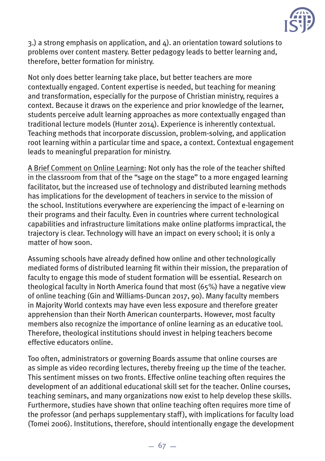

3.) a strong emphasis on application, and 4). an orientation toward solutions to problems over content mastery. Better pedagogy leads to better learning and, therefore, better formation for ministry.

Not only does better learning take place, but better teachers are more contextually engaged. Content expertise is needed, but teaching for meaning and transformation, especially for the purpose of Christian ministry, requires a context. Because it draws on the experience and prior knowledge of the learner, students perceive adult learning approaches as more contextually engaged than traditional lecture models (Hunter 2014). Experience is inherently contextual. Teaching methods that incorporate discussion, problem-solving, and application root learning within a particular time and space, a context. Contextual engagement leads to meaningful preparation for ministry.

A Brief Comment on Online Learning: Not only has the role of the teacher shifted in the classroom from that of the "sage on the stage" to a more engaged learning facilitator, but the increased use of technology and distributed learning methods has implications for the development of teachers in service to the mission of the school. Institutions everywhere are experiencing the impact of e-learning on their programs and their faculty. Even in countries where current technological capabilities and infrastructure limitations make online platforms impractical, the trajectory is clear. Technology will have an impact on every school; it is only a matter of how soon.

Assuming schools have already defined how online and other technologically mediated forms of distributed learning fit within their mission, the preparation of faculty to engage this mode of student formation will be essential. Research on theological faculty in North America found that most (65%) have a negative view of online teaching (Gin and Williams-Duncan 2017, 90). Many faculty members in Majority World contexts may have even less exposure and therefore greater apprehension than their North American counterparts. However, most faculty members also recognize the importance of online learning as an educative tool. Therefore, theological institutions should invest in helping teachers become effective educators online.

Too often, administrators or governing Boards assume that online courses are as simple as video recording lectures, thereby freeing up the time of the teacher. This sentiment misses on two fronts. Effective online teaching often requires the development of an additional educational skill set for the teacher. Online courses, teaching seminars, and many organizations now exist to help develop these skills. Furthermore, studies have shown that online teaching often requires more time of the professor (and perhaps supplementary staff), with implications for faculty load (Tomei 2006). Institutions, therefore, should intentionally engage the development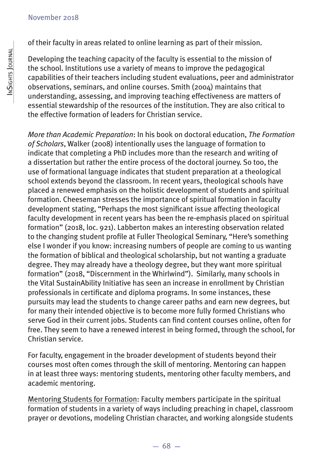of their faculty in areas related to online learning as part of their mission.

Developing the teaching capacity of the faculty is essential to the mission of the school. Institutions use a variety of means to improve the pedagogical capabilities of their teachers including student evaluations, peer and administrator observations, seminars, and online courses. Smith (2004) maintains that understanding, assessing, and improving teaching effectiveness are matters of essential stewardship of the resources of the institution. They are also critical to the effective formation of leaders for Christian service.

*More than Academic Preparation*: In his book on doctoral education, *The Formation of Scholars*, Walker (2008) intentionally uses the language of formation to indicate that completing a PhD includes more than the research and writing of a dissertation but rather the entire process of the doctoral journey. So too, the use of formational language indicates that student preparation at a theological school extends beyond the classroom. In recent years, theological schools have placed a renewed emphasis on the holistic development of students and spiritual formation. Cheeseman stresses the importance of spiritual formation in faculty development stating, "Perhaps the most significant issue affecting theological faculty development in recent years has been the re-emphasis placed on spiritual formation" (2018, loc. 921). Labberton makes an interesting observation related to the changing student profile at Fuller Theological Seminary, "Here's something else I wonder if you know: increasing numbers of people are coming to us wanting the formation of biblical and theological scholarship, but not wanting a graduate degree. They may already have a theology degree, but they want more spiritual formation" (2018, "Discernment in the Whirlwind"). Similarly, many schools in the Vital SustainAbility Initiative has seen an increase in enrollment by Christian professionals in certificate and diploma programs. In some instances, these pursuits may lead the students to change career paths and earn new degrees, but for many their intended objective is to become more fully formed Christians who serve God in their current jobs. Students can find content courses online, often for free. They seem to have a renewed interest in being formed, through the school, for Christian service.

For faculty, engagement in the broader development of students beyond their courses most often comes through the skill of mentoring. Mentoring can happen in at least three ways: mentoring students, mentoring other faculty members, and academic mentoring.

Mentoring Students for Formation: Faculty members participate in the spiritual formation of students in a variety of ways including preaching in chapel, classroom prayer or devotions, modeling Christian character, and working alongside students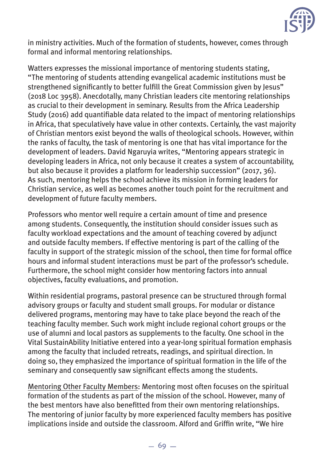

in ministry activities. Much of the formation of students, however, comes through formal and informal mentoring relationships.

Watters expresses the missional importance of mentoring students stating, "The mentoring of students attending evangelical academic institutions must be strengthened significantly to better fulfill the Great Commission given by Jesus" (2018 Loc 3958). Anecdotally, many Christian leaders cite mentoring relationships as crucial to their development in seminary. Results from the Africa Leadership Study (2016) add quantifiable data related to the impact of mentoring relationships in Africa, that speculatively have value in other contexts. Certainly, the vast majority of Christian mentors exist beyond the walls of theological schools. However, within the ranks of faculty, the task of mentoring is one that has vital importance for the development of leaders. David Ngaruyia writes, "Mentoring appears strategic in developing leaders in Africa, not only because it creates a system of accountability, but also because it provides a platform for leadership succession" (2017, 36). As such, mentoring helps the school achieve its mission in forming leaders for Christian service, as well as becomes another touch point for the recruitment and development of future faculty members.

Professors who mentor well require a certain amount of time and presence among students. Consequently, the institution should consider issues such as faculty workload expectations and the amount of teaching covered by adjunct and outside faculty members. If effective mentoring is part of the calling of the faculty in support of the strategic mission of the school, then time for formal office hours and informal student interactions must be part of the professor's schedule. Furthermore, the school might consider how mentoring factors into annual objectives, faculty evaluations, and promotion.

Within residential programs, pastoral presence can be structured through formal advisory groups or faculty and student small groups. For modular or distance delivered programs, mentoring may have to take place beyond the reach of the teaching faculty member. Such work might include regional cohort groups or the use of alumni and local pastors as supplements to the faculty. One school in the Vital SustainAbility Initiative entered into a year-long spiritual formation emphasis among the faculty that included retreats, readings, and spiritual direction. In doing so, they emphasized the importance of spiritual formation in the life of the seminary and consequently saw significant effects among the students.

Mentoring Other Faculty Members: Mentoring most often focuses on the spiritual formation of the students as part of the mission of the school. However, many of the best mentors have also benefitted from their own mentoring relationships. The mentoring of junior faculty by more experienced faculty members has positive implications inside and outside the classroom. Alford and Griffin write, "We hire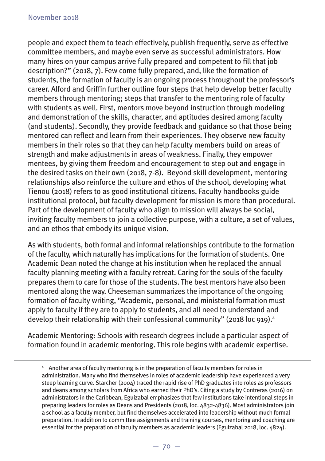people and expect them to teach effectively, publish frequently, serve as effective committee members, and maybe even serve as successful administrators. How many hires on your campus arrive fully prepared and competent to fill that job description?" (2018, 7). Few come fully prepared, and, like the formation of students, the formation of faculty is an ongoing process throughout the professor's career. Alford and Griffin further outline four steps that help develop better faculty members through mentoring; steps that transfer to the mentoring role of faculty with students as well. First, mentors move beyond instruction through modeling and demonstration of the skills, character, and aptitudes desired among faculty (and students). Secondly, they provide feedback and guidance so that those being mentored can reflect and learn from their experiences. They observe new faculty members in their roles so that they can help faculty members build on areas of strength and make adjustments in areas of weakness. Finally, they empower mentees, by giving them freedom and encouragement to step out and engage in the desired tasks on their own (2018, 7-8). Beyond skill development, mentoring relationships also reinforce the culture and ethos of the school, developing what Tienou (2018) refers to as good institutional citizens. Faculty handbooks guide institutional protocol, but faculty development for mission is more than procedural. Part of the development of faculty who align to mission will always be social, inviting faculty members to join a collective purpose, with a culture, a set of values, and an ethos that embody its unique vision.

As with students, both formal and informal relationships contribute to the formation of the faculty, which naturally has implications for the formation of students. One Academic Dean noted the change at his institution when he replaced the annual faculty planning meeting with a faculty retreat. Caring for the souls of the faculty prepares them to care for those of the students. The best mentors have also been mentored along the way. Cheeseman summarizes the importance of the ongoing formation of faculty writing, "Academic, personal, and ministerial formation must apply to faculty if they are to apply to students, and all need to understand and develop their relationship with their confessional community" (2018 loc 919).<sup>4</sup>

Academic Mentoring: Schools with research degrees include a particular aspect of formation found in academic mentoring. This role begins with academic expertise.

<sup>4</sup> Another area of faculty mentoring is in the preparation of faculty members for roles in administration. Many who find themselves in roles of academic leadership have experienced a very steep learning curve. Starcher (2004) traced the rapid rise of PhD graduates into roles as professors and deans among scholars from Africa who earned their PhD's. Citing a study by Contreras (2016) on administrators in the Caribbean, Eguizabal emphasizes that few institutions take intentional steps in preparing leaders for roles as Deans and Presidents (2018, loc. 4832-4836). Most administrators join a school as a faculty member, but find themselves accelerated into leadership without much formal preparation. In addition to committee assignments and training courses, mentoring and coaching are essential for the preparation of faculty members as academic leaders (Eguizabal 2018, loc. 4824).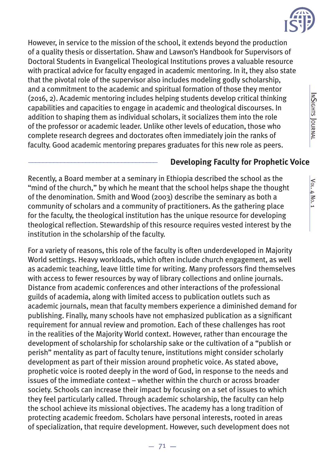

However, in service to the mission of the school, it extends beyond the production of a quality thesis or dissertation. Shaw and Lawson's Handbook for Supervisors of Doctoral Students in Evangelical Theological Institutions proves a valuable resource with practical advice for faculty engaged in academic mentoring. In it, they also state that the pivotal role of the supervisor also includes modeling godly scholarship, and a commitment to the academic and spiritual formation of those they mentor (2016, 2). Academic mentoring includes helping students develop critical thinking capabilities and capacities to engage in academic and theological discourses. In addition to shaping them as individual scholars, it socializes them into the role of the professor or academic leader. Unlike other levels of education, those who complete research degrees and doctorates often immediately join the ranks of faculty. Good academic mentoring prepares graduates for this new role as peers.

#### \_\_\_\_\_\_\_\_\_\_\_\_\_\_\_\_\_\_\_\_\_\_\_\_\_\_\_\_\_\_\_\_\_\_\_\_ **Developing Faculty for Prophetic Voice**

Recently, a Board member at a seminary in Ethiopia described the school as the "mind of the church," by which he meant that the school helps shape the thought of the denomination. Smith and Wood (2003) describe the seminary as both a community of scholars and a community of practitioners. As the gathering place for the faculty, the theological institution has the unique resource for developing theological reflection. Stewardship of this resource requires vested interest by the institution in the scholarship of the faculty.

For a variety of reasons, this role of the faculty is often underdeveloped in Majority World settings. Heavy workloads, which often include church engagement, as well as academic teaching, leave little time for writing. Many professors find themselves with access to fewer resources by way of library collections and online journals. Distance from academic conferences and other interactions of the professional guilds of academia, along with limited access to publication outlets such as academic journals, mean that faculty members experience a diminished demand for publishing. Finally, many schools have not emphasized publication as a significant requirement for annual review and promotion. Each of these challenges has root in the realities of the Majority World context. However, rather than encourage the development of scholarship for scholarship sake or the cultivation of a "publish or perish" mentality as part of faculty tenure, institutions might consider scholarly development as part of their mission around prophetic voice. As stated above, prophetic voice is rooted deeply in the word of God, in response to the needs and issues of the immediate context – whether within the church or across broader society. Schools can increase their impact by focusing on a set of issues to which they feel particularly called. Through academic scholarship, the faculty can help the school achieve its missional objectives. The academy has a long tradition of protecting academic freedom. Scholars have personal interests, rooted in areas of specialization, that require development. However, such development does not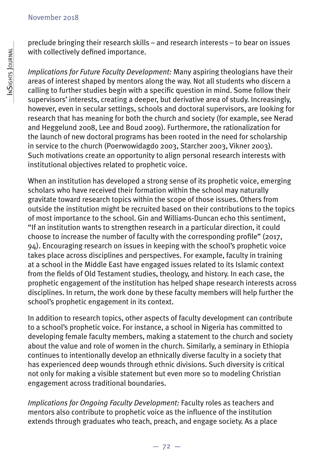preclude bringing their research skills – and research interests – to bear on issues with collectively defined importance.

*Implications for Future Faculty Development:* Many aspiring theologians have their areas of interest shaped by mentors along the way. Not all students who discern a calling to further studies begin with a specific question in mind. Some follow their supervisors' interests, creating a deeper, but derivative area of study. Increasingly, however, even in secular settings, schools and doctoral supervisors, are looking for research that has meaning for both the church and society (for example, see Nerad and Heggelund 2008, Lee and Boud 2009). Furthermore, the rationalization for the launch of new doctoral programs has been rooted in the need for scholarship in service to the church (Poerwowidagdo 2003, Starcher 2003, Vikner 2003). Such motivations create an opportunity to align personal research interests with institutional objectives related to prophetic voice.

When an institution has developed a strong sense of its prophetic voice, emerging scholars who have received their formation within the school may naturally gravitate toward research topics within the scope of those issues. Others from outside the institution might be recruited based on their contributions to the topics of most importance to the school. Gin and Williams-Duncan echo this sentiment, "If an institution wants to strengthen research in a particular direction, it could choose to increase the number of faculty with the corresponding profile" (2017, 94). Encouraging research on issues in keeping with the school's prophetic voice takes place across disciplines and perspectives. For example, faculty in training at a school in the Middle East have engaged issues related to its Islamic context from the fields of Old Testament studies, theology, and history. In each case, the prophetic engagement of the institution has helped shape research interests across disciplines. In return, the work done by these faculty members will help further the school's prophetic engagement in its context.

In addition to research topics, other aspects of faculty development can contribute to a school's prophetic voice. For instance, a school in Nigeria has committed to developing female faculty members, making a statement to the church and society about the value and role of women in the church. Similarly, a seminary in Ethiopia continues to intentionally develop an ethnically diverse faculty in a society that has experienced deep wounds through ethnic divisions. Such diversity is critical not only for making a visible statement but even more so to modeling Christian engagement across traditional boundaries.

*Implications for Ongoing Faculty Development:* Faculty roles as teachers and mentors also contribute to prophetic voice as the influence of the institution extends through graduates who teach, preach, and engage society. As a place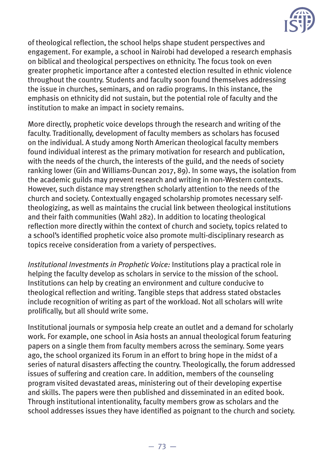

of theological reflection, the school helps shape student perspectives and engagement. For example, a school in Nairobi had developed a research emphasis on biblical and theological perspectives on ethnicity. The focus took on even greater prophetic importance after a contested election resulted in ethnic violence throughout the country. Students and faculty soon found themselves addressing the issue in churches, seminars, and on radio programs. In this instance, the emphasis on ethnicity did not sustain, but the potential role of faculty and the institution to make an impact in society remains.

More directly, prophetic voice develops through the research and writing of the faculty. Traditionally, development of faculty members as scholars has focused on the individual. A study among North American theological faculty members found individual interest as the primary motivation for research and publication, with the needs of the church, the interests of the guild, and the needs of society ranking lower (Gin and Williams-Duncan 2017, 89). In some ways, the isolation from the academic guilds may prevent research and writing in non-Western contexts. However, such distance may strengthen scholarly attention to the needs of the church and society. Contextually engaged scholarship promotes necessary selftheologizing, as well as maintains the crucial link between theological institutions and their faith communities (Wahl 282). In addition to locating theological reflection more directly within the context of church and society, topics related to a school's identified prophetic voice also promote multi-disciplinary research as topics receive consideration from a variety of perspectives.

*Institutional Investments in Prophetic Voice:* Institutions play a practical role in helping the faculty develop as scholars in service to the mission of the school. Institutions can help by creating an environment and culture conducive to theological reflection and writing. Tangible steps that address stated obstacles include recognition of writing as part of the workload. Not all scholars will write prolifically, but all should write some.

Institutional journals or symposia help create an outlet and a demand for scholarly work. For example, one school in Asia hosts an annual theological forum featuring papers on a single them from faculty members across the seminary. Some years ago, the school organized its Forum in an effort to bring hope in the midst of a series of natural disasters affecting the country. Theologically, the forum addressed issues of suffering and creation care. In addition, members of the counseling program visited devastated areas, ministering out of their developing expertise and skills. The papers were then published and disseminated in an edited book. Through institutional intentionality, faculty members grow as scholars and the school addresses issues they have identified as poignant to the church and society.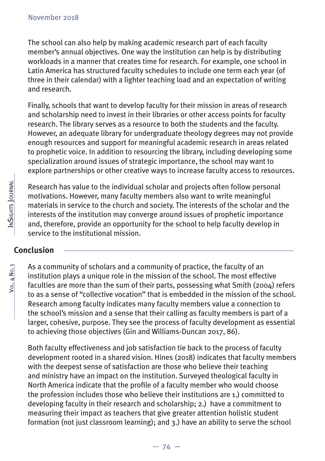The school can also help by making academic research part of each faculty member's annual objectives. One way the institution can help is by distributing workloads in a manner that creates time for research. For example, one school in Latin America has structured faculty schedules to include one term each year (of three in their calendar) with a lighter teaching load and an expectation of writing and research.

Finally, schools that want to develop faculty for their mission in areas of research and scholarship need to invest in their libraries or other access points for faculty research. The library serves as a resource to both the students and the faculty. However, an adequate library for undergraduate theology degrees may not provide enough resources and support for meaningful academic research in areas related to prophetic voice. In addition to resourcing the library, including developing some specialization around issues of strategic importance, the school may want to explore partnerships or other creative ways to increase faculty access to resources.

Research has value to the individual scholar and projects often follow personal motivations. However, many faculty members also want to write meaningful materials in service to the church and society. The interests of the scholar and the interests of the institution may converge around issues of prophetic importance and, therefore, provide an opportunity for the school to help faculty develop in service to the institutional mission.

## **Conclusion \_\_\_\_\_\_\_\_\_\_\_\_\_\_\_\_\_\_\_\_\_\_\_\_\_\_\_\_\_\_\_\_\_\_\_\_\_\_\_\_\_\_\_\_\_\_\_\_\_\_\_\_\_\_\_\_\_\_\_\_\_\_\_\_**

VOL. 4 NO. 1 INSIGHTS JOURNAL Vol. 4 No. 1

INSIGHTS JOURNAL

As a community of scholars and a community of practice, the faculty of an institution plays a unique role in the mission of the school. The most effective faculties are more than the sum of their parts, possessing what Smith (2004) refers to as a sense of "collective vocation" that is embedded in the mission of the school. Research among faculty indicates many faculty members value a connection to the school's mission and a sense that their calling as faculty members is part of a larger, cohesive, purpose. They see the process of faculty development as essential to achieving those objectives (Gin and Williams-Duncan 2017, 86).

Both faculty effectiveness and job satisfaction tie back to the process of faculty development rooted in a shared vision. Hines (2018) indicates that faculty members with the deepest sense of satisfaction are those who believe their teaching and ministry have an impact on the institution. Surveyed theological faculty in North America indicate that the profile of a faculty member who would choose the profession includes those who believe their institutions are 1.) committed to developing faculty in their research and scholarship; 2.) have a commitment to measuring their impact as teachers that give greater attention holistic student formation (not just classroom learning); and 3.) have an ability to serve the school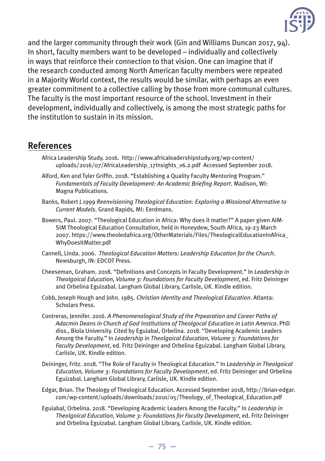

and the larger community through their work (Gin and Williams Duncan 2017, 94). In short, faculty members want to be developed – individually and collectively in ways that reinforce their connection to that vision. One can imagine that if the research conducted among North American faculty members were repeated in a Majority World context, the results would be similar, with perhaps an even greater commitment to a collective calling by those from more communal cultures. The faculty is the most important resource of the school. Investment in their development, individually and collectively, is among the most strategic paths for the institution to sustain in its mission.

#### **References**

- Africa Leadership Study. 2016. http://www.africaleadershipstudy.org/wp-content/ uploads/2016/07/AfricaLeadership\_17Insights\_v6.2.pdf Accessed September 2018.
- Alford, Ken and Tyler Griffin. 2018. "Establishing a Quality Faculty Mentoring Program." *Fundamentals of Faculty Development: An Academic Briefing Report. Madison, WI:* Magna Publications.
- Banks, Robert J.1999 *Reenvisioning Theological Education: Exploring a Missional Alternative to Current Models*. Grand Rapids, MI: Eerdmans.
- Bowers, Paul. 2007. "Theological Education in Africa: Why does it matter?" A paper given AIM-SIM Theological Education Consultation, held in Honeydew, South Africa, 19-23 March 2007. https://www.theoledafrica.org/OtherMaterials/Files/TheologicalEducationInAfrica\_ WhyDoesItMatter.pdf
- Cannell, Linda. 2006. *Theological Education Matters: Leadership Education for the Church*. Newsburgh, IN: EDCOT Press.
- Cheeseman, Graham. 2018. "Definitions and Concepts in Faculty Development." In *Leadership in Theolgoical Education, Volume 3: Foundations for Faculty Development*, ed. Fritz Deininger and Orbelina Eguizabal. Langham Global Library, Carlisle, UK. Kindle edition.
- Cobb, Joseph Hough and John. 1985. *Christian Identity and Theological Education*. Atlanta: Scholars Press.
- Contreras, Jennifer. 2016. *A Phenomenological Study of the Prpearation and Career Paths of Adacmin Deans in Church of God Institutions of Theolgocal Education in Latin America*. PhD diss., Biola University. Cited by Eguiabal, Orbelina. 2018. "Developing Academic Leaders Among the Faculty." In *Leadership in Theolgoical Education, Volume 3: Foundations for Faculty Development*, ed. Fritz Deininger and Orbelina Eguizabal. Langham Global Library, Carlisle, UK. Kindle edition.
- Deininger, Fritz. 2018. "The Role of Faculty in Theological Education." In *Leadership in Theolgoical Education, Volume 3: Foundations for Faculty Development*, ed. Fritz Deininger and Orbelina Eguizabal. Langham Global Library, Carlisle, UK. Kindle edition.
- Edgar, Brian. The Theology of Theological Education. Accessed September 2018, http://brian-edgar. com/wp-content/uploads/downloads/2010/05/Theology\_of\_Theological\_Education.pdf
- Eguiabal, Orbelina. 2018. "Developing Academic Leaders Among the Faculty." In *Leadership in Theolgoical Education, Volume 3: Foundations for Faculty Development*, ed. Fritz Deininger and Orbelina Eguizabal. Langham Global Library, Carlisle, UK. Kindle edition.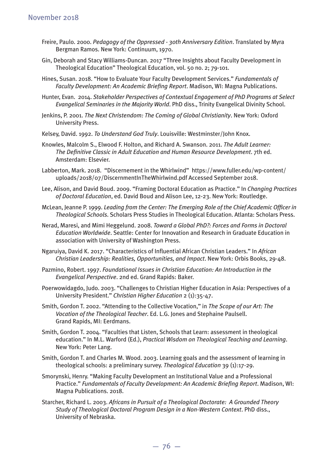- Freire, Paulo. 2000. *Pedagogy of the Oppressed 30th Anniversary Edition*. Translated by Myra Bergman Ramos. New York: Continuum, 1970.
- Gin, Deborah and Stacy Williams-Duncan. 2017 "Three Insights about Faculty Development in Theological Education" Theological Education, vol. 50 no. 2; 79-101.
- Hines, Susan. 2018. "How to Evaluate Your Faculty Development Services." *Fundamentals of*  Faculty Development: An Academic Briefing Report. Madison, WI: Magna Publications.
- Hunter, Evan. 2014. *Stakeholder Perspectives of Contextual Engagement of PhD Programs at Select Evangelical Seminaries in the Majority World*. PhD diss., Trinity Evangelical Divinity School.
- Jenkins, P. 2001. *The Next Christendom: The Coming of Global Christianity*. New York: Oxford University Press.
- Kelsey, David. 1992. *To Understand God Truly*. Louisville: Westminster/John Knox.
- Knowles, Malcolm S., Elwood F. Holton, and Richard A. Swanson. 2011. *The Adult Learner: The Defi nitive Classic in Adult Education and Human Resource Development*. 7th ed. Amsterdam: Elsevier.
- Labberton, Mark. 2018. "Discernement in the Whirlwind" https://www.fuller.edu/wp-content/ uploads/2018/07/DiscernmentInTheWhirlwind.pdf Accessed September 2018.
- Lee, Alison, and David Boud. 2009. "Framing Doctoral Education as Practice." In *Changing Practices of Doctoral Education*, ed. David Boud and Alison Lee, 12-23. New York: Routledge.
- McLean, Jeanne P. 1999. *Leading from the Center: The Emerging Role of the Chief Academic Officer in Theological Schools*. Scholars Press Studies in Theological Education. Atlanta: Scholars Press.
- Nerad, Maresi, and Mimi Heggelund. 2008. *Toward a Global PhD?: Forces and Forms in Doctoral Education Worldwide*. Seattle: Center for Innovation and Research in Graduate Education in association with University of Washington Press.
- Ngaruiya, David K. 2017. "Characteristics of Influential African Christian Leaders." In African *Christian Leadership: Realities, Opportunities, and Impact*. New York: Orbis Books, 29-48.
- Pazmino, Robert. 1997. *Foundational Issues in Christian Education: An Introduction in the Evangelical Perspective*. 2nd ed. Grand Rapids: Baker.
- Poerwowidagdo, Judo. 2003. "Challenges to Christian Higher Education in Asia: Perspectives of a University President." *Christian Higher Education* 2 (1):35-47.
- Smith, Gordon T. 2002. "Attending to the Collective Vocation," in *The Scope of our Art: The Vocation of the Theological Teacher*. Ed. L.G. Jones and Stephaine Paulsell. Grand Rapids, MI: Eerdmans.
- Smith, Gordon T. 2004. "Faculties that Listen, Schools that Learn: assessment in theological education." In M.L. Warford (Ed.), *Practical Wisdom on Theological Teaching and Learning*. New York: Peter Lang.
- Smith, Gordon T. and Charles M. Wood. 2003. Learning goals and the assessment of learning in theological schools: a preliminary survey. *Theological Education* 39 (1):17-29.
- Smorynski, Henry. "Making Faculty Development an Institutional Value and a Professional Practice." Fundamentals of Faculty Development: An Academic Briefing Report. Madison, WI: Magna Publications. 2018.
- Starcher, Richard L. 2003. *Africans in Pursuit of a Theological Doctorate: A Grounded Theory Study of Theological Doctoral Program Design in a Non-Western Context*. PhD diss., University of Nebraska.

 $-76-$